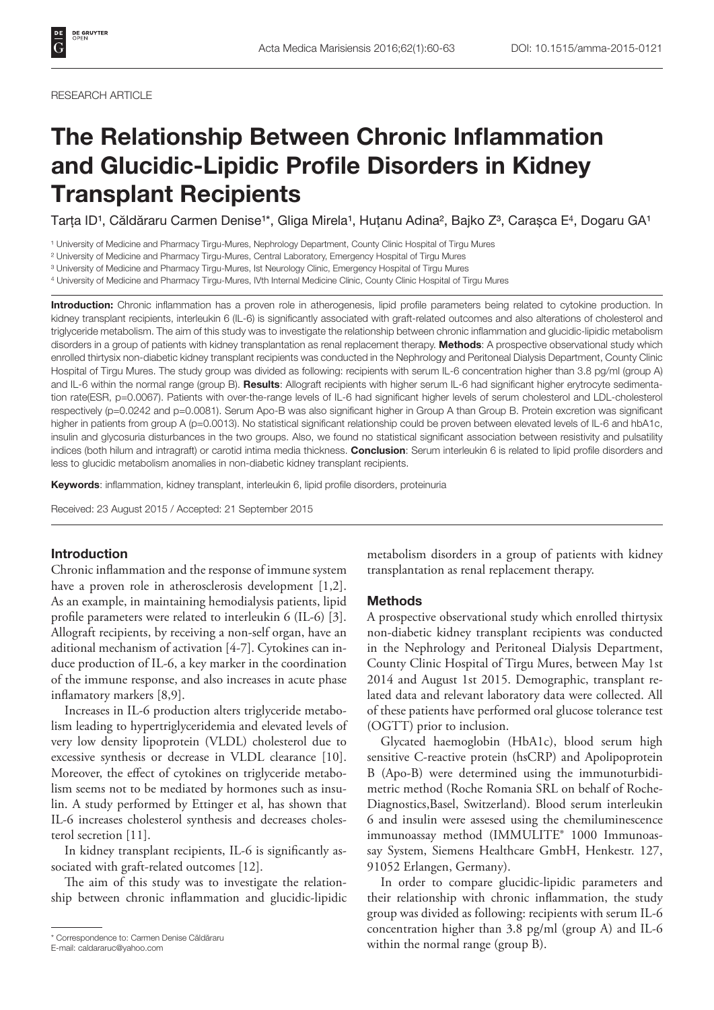### RESEARCH ARTICLE

# The Relationship Between Chronic Inflammation and Glucidic-Lipidic Profile Disorders in Kidney Transplant Recipients

Tarța ID<sup>1</sup>, Căldăraru Carmen Denise<sup>1\*</sup>, Gliga Mirela<sup>1</sup>, Huțanu Adina<sup>2</sup>, Bajko Z<sup>3</sup>, Carașca E<sup>4</sup>, Dogaru GA<sup>1</sup>

<sup>1</sup> University of Medicine and Pharmacy Tirgu-Mures, Nephrology Department, County Clinic Hospital of Tirgu Mures

² University of Medicine and Pharmacy Tirgu-Mures, Central Laboratory, Emergency Hospital of Tirgu Mures

<sup>3</sup> University of Medicine and Pharmacy Tirgu-Mures, Ist Neurology Clinic, Emergency Hospital of Tirgu Mures

4 University of Medicine and Pharmacy Tirgu-Mures, IVth Internal Medicine Clinic, County Clinic Hospital of Tirgu Mures

Introduction: Chronic inflammation has a proven role in atherogenesis, lipid profile parameters being related to cytokine production. In kidney transplant recipients, interleukin 6 (IL-6) is significantly associated with graft-related outcomes and also alterations of cholesterol and triglyceride metabolism. The aim of this study was to investigate the relationship between chronic inflammation and glucidic-lipidic metabolism disorders in a group of patients with kidney transplantation as renal replacement therapy. Methods: A prospective observational study which enrolled thirtysix non-diabetic kidney transplant recipients was conducted in the Nephrology and Peritoneal Dialysis Department, County Clinic Hospital of Tirgu Mures. The study group was divided as following: recipients with serum IL-6 concentration higher than 3.8 pg/ml (group A) and IL-6 within the normal range (group B). Results: Allograft recipients with higher serum IL-6 had significant higher erytrocyte sedimentation rate(ESR, p=0.0067). Patients with over-the-range levels of IL-6 had significant higher levels of serum cholesterol and LDL-cholesterol respectively (p=0.0242 and p=0.0081). Serum Apo-B was also significant higher in Group A than Group B. Protein excretion was significant higher in patients from group A (p=0.0013). No statistical significant relationship could be proven between elevated levels of IL-6 and hbA1c, insulin and glycosuria disturbances in the two groups. Also, we found no statistical significant association between resistivity and pulsatility indices (both hilum and intragraft) or carotid intima media thickness. Conclusion: Serum interleukin 6 is related to lipid profile disorders and less to glucidic metabolism anomalies in non-diabetic kidney transplant recipients.

Keywords: inflammation, kidney transplant, interleukin 6, lipid profile disorders, proteinuria

Received: 23 August 2015 / Accepted: 21 September 2015

# Introduction

Chronic inflammation and the response of immune system have a proven role in atherosclerosis development [1,2]. As an example, in maintaining hemodialysis patients, lipid profile parameters were related to interleukin 6 (IL-6) [3]. Allograft recipients, by receiving a non-self organ, have an aditional mechanism of activation [4-7]. Cytokines can induce production of IL-6, a key marker in the coordination of the immune response, and also increases in acute phase inflamatory markers [8,9].

Increases in IL-6 production alters triglyceride metabolism leading to hypertriglyceridemia and elevated levels of very low density lipoprotein (VLDL) cholesterol due to excessive synthesis or decrease in VLDL clearance [10]. Moreover, the effect of cytokines on triglyceride metabolism seems not to be mediated by hormones such as insulin. A study performed by Ettinger et al, has shown that IL-6 increases cholesterol synthesis and decreases cholesterol secretion [11].

In kidney transplant recipients, IL-6 is significantly associated with graft-related outcomes [12].

The aim of this study was to investigate the relationship between chronic inflammation and glucidic-lipidic

metabolism disorders in a group of patients with kidney transplantation as renal replacement therapy.

## Methods

A prospective observational study which enrolled thirtysix non-diabetic kidney transplant recipients was conducted in the Nephrology and Peritoneal Dialysis Department, County Clinic Hospital of Tirgu Mures, between May 1st 2014 and August 1st 2015. Demographic, transplant related data and relevant laboratory data were collected. All of these patients have performed oral glucose tolerance test (OGTT) prior to inclusion.

Glycated haemoglobin (HbA1c), blood serum high sensitive C-reactive protein (hsCRP) and Apolipoprotein B (Apo-B) were determined using the immunoturbidimetric method (Roche Romania SRL on behalf of Roche-Diagnostics,Basel, Switzerland). Blood serum interleukin 6 and insulin were assesed using the chemiluminescence immunoassay method (IMMULITE® 1000 Immunoassay System, Siemens Healthcare GmbH, Henkestr. 127, 91052 Erlangen, Germany).

In order to compare glucidic-lipidic parameters and their relationship with chronic inflammation, the study group was divided as following: recipients with serum IL-6 concentration higher than 3.8 pg/ml (group A) and IL-6 within the normal range (group B). \* Correspondence to: Carmen Denise Căldăraru

E-mail: caldararuc@yahoo.com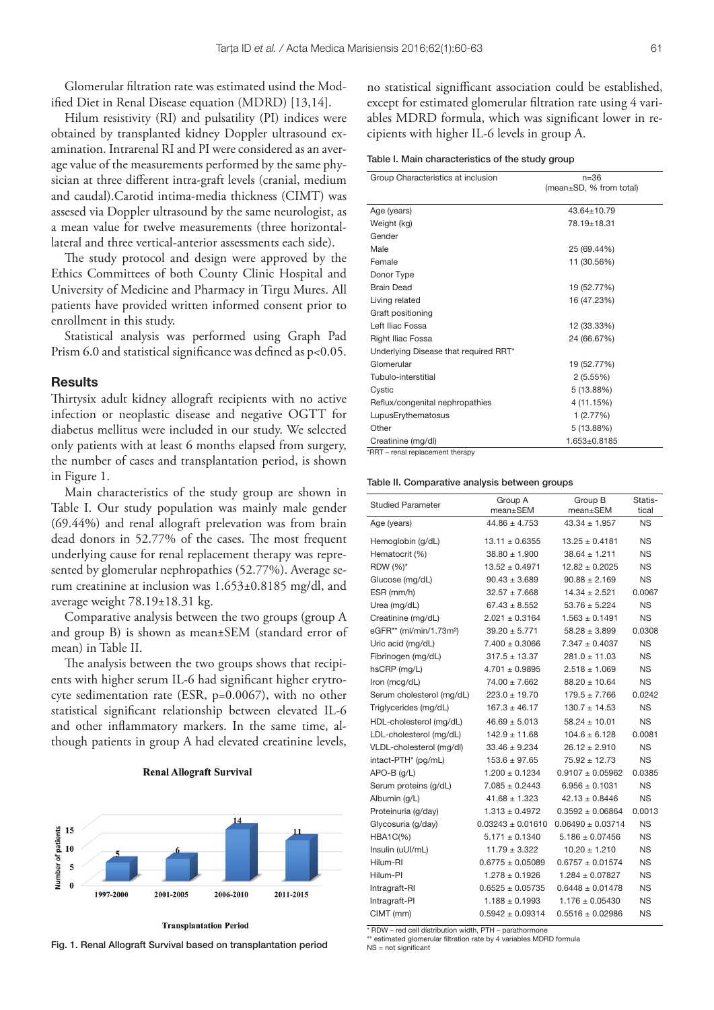Glomerular filtration rate was estimated usind the Modified Diet in Renal Disease equation (MDRD) [13,14].

Hilum resistivity (RI) and pulsatility (PI) indices were obtained by transplanted kidney Doppler ultrasound examination. Intrarenal RI and PI were considered as an average value of the measurements performed by the same physician at three different intra-graft levels (cranial, medium and caudal).Carotid intima-media thickness (CIMT) was assesed via Doppler ultrasound by the same neurologist, as a mean value for twelve measurements (three horizontallateral and three vertical-anterior assessments each side).

The study protocol and design were approved by the Ethics Committees of both County Clinic Hospital and University of Medicine and Pharmacy in Tirgu Mures. All patients have provided written informed consent prior to enrollment in this study.

Statistical analysis was performed using Graph Pad Prism 6.0 and statistical significance was defined as  $p<0.05$ .

## **Results**

Thirtysix adult kidney allograft recipients with no active infection or neoplastic disease and negative OGTT for diabetus mellitus were included in our study. We selected only patients with at least 6 months elapsed from surgery, the number of cases and transplantation period, is shown in Figure 1.

Main characteristics of the study group are shown in Table I. Our study population was mainly male gender (69.44%) and renal allograft prelevation was from brain dead donors in 52.77% of the cases. The most frequent underlying cause for renal replacement therapy was represented by glomerular nephropathies (52.77%). Average serum creatinine at inclusion was 1.653±0.8185 mg/dl, and average weight 78.19±18.31 kg.

Comparative analysis between the two groups (group A and group B) is shown as mean±SEM (standard error of mean) in Table II.

The analysis between the two groups shows that recipients with higher serum IL-6 had significant higher erytrocyte sedimentation rate (ESR, p=0.0067), with no other statistical significant relationship between elevated IL-6 and other inflammatory markers. In the same time, although patients in group A had elevated creatinine levels,

## **Renal Allograft Survival**



**Transplantation Period** 

Fig. 1. Renal Allograft Survival based on transplantation period NS = not significant

no statistical signifficant association could be established, except for estimated glomerular filtration rate using 4 variables MDRD formula, which was significant lower in recipients with higher IL-6 levels in group A.

Table I. Main characteristics of the study group

| Group Characteristics at inclusion    | $n = 36$                |
|---------------------------------------|-------------------------|
|                                       | (mean±SD, % from total) |
| Age (years)                           | $43.64 \pm 10.79$       |
| Weight (kg)                           | 78.19±18.31             |
| Gender                                |                         |
| Male                                  | 25 (69.44%)             |
| Female                                | 11 (30.56%)             |
| Donor Type                            |                         |
| <b>Brain Dead</b>                     | 19 (52.77%)             |
| Living related                        | 16 (47.23%)             |
| Graft positioning                     |                         |
| Left Iliac Fossa                      | 12 (33.33%)             |
| Right Iliac Fossa                     | 24 (66.67%)             |
| Underlying Disease that required RRT* |                         |
| Glomerular                            | 19 (52.77%)             |
| Tubulo-interstitial                   | 2(5.55%)                |
| Cystic                                | 5 (13.88%)              |
| Reflux/congenital nephropathies       | 4 (11.15%)              |
| LupusErythematosus                    | 1(2.77%)                |
| Other                                 | 5 (13.88%)              |
| Creatinine (mg/dl)                    | 1.653±0.8185            |
| DDT _ ronal roplacomont thorony       |                         |

\*RRT – renal replacement therapy

#### Table II. Comparative analysis between groups

| <b>Studied Parameter</b>            | Group A              | Group B              | Statis-   |
|-------------------------------------|----------------------|----------------------|-----------|
|                                     | mean±SEM             | mean±SEM             | tical     |
| Age (years)                         | $44.86 \pm 4.753$    | $43.34 \pm 1.957$    | NS.       |
| Hemoglobin (g/dL)                   | $13.11 \pm 0.6355$   | $13.25 \pm 0.4181$   | NS.       |
| Hematocrit (%)                      | $38.80 \pm 1.900$    | $38.64 \pm 1.211$    | NS.       |
| RDW (%)*                            | $13.52 \pm 0.4971$   | $12.82 + 0.2025$     | NS        |
| Glucose (mg/dL)                     | $90.43 \pm 3.689$    | $90.88 \pm 2.169$    | NS        |
| ESR (mm/h)                          | $32.57 \pm 7.668$    | $14.34 \pm 2.521$    | 0.0067    |
| Urea (mg/dL)                        | $67.43 \pm 8.552$    | $53.76 \pm 5.224$    | NS        |
| Creatinine (mg/dL)                  | $2.021 \pm 0.3164$   | $1.563 \pm 0.1491$   | <b>NS</b> |
| eGFR** (ml/min/1.73m <sup>2</sup> ) | $39.20 \pm 5.771$    | $58.28 \pm 3.899$    | 0.0308    |
| Uric acid (mg/dL)                   | $7.400 \pm 0.3066$   | $7.347 \pm 0.4037$   | <b>NS</b> |
| Fibrinogen (mg/dL)                  | $317.5 \pm 13.37$    | $281.0 \pm 11.03$    | <b>NS</b> |
| hsCRP (mg/L)                        | $4.701 \pm 0.9895$   | $2.518 \pm 1.069$    | <b>NS</b> |
| Iron (mcg/dL)                       | $74.00 \pm 7.662$    | $88.20 \pm 10.64$    | <b>NS</b> |
| Serum cholesterol (mg/dL)           | $223.0 \pm 19.70$    | $179.5 \pm 7.766$    | 0.0242    |
| Triglycerides (mg/dL)               | $167.3 \pm 46.17$    | $130.7 \pm 14.53$    | <b>NS</b> |
| HDL-cholesterol (mg/dL)             | $46.69 \pm 5.013$    | $58.24 \pm 10.01$    | <b>NS</b> |
| LDL-cholesterol (mg/dL)             | $142.9 \pm 11.68$    | $104.6 \pm 6.128$    | 0.0081    |
| VLDL-cholesterol (mg/dl)            | $33.46 \pm 9.234$    | $26.12 \pm 2.910$    | <b>NS</b> |
| intact-PTH* (pg/mL)                 | $153.6 \pm 97.65$    | $75.92 \pm 12.73$    | <b>NS</b> |
| $APO-B$ (g/L)                       | $1.200 \pm 0.1234$   | $0.9107 \pm 0.05962$ | 0.0385    |
| Serum proteins (g/dL)               | $7.085 \pm 0.2443$   | $6.956 + 0.1031$     | ΝS        |
| Albumin (g/L)                       | $41.68 \pm 1.323$    | $42.13 \pm 0.8446$   | ΝS        |
| Proteinuria (g/day)                 | $1.313 \pm 0.4972$   | $0.3592 \pm 0.06864$ | 0.0013    |
| Glycosuria (g/day)                  | $0.03243 + 0.01610$  | $0.06490 + 0.03714$  | ΝS        |
| <b>HBA1C(%)</b>                     | $5.171 \pm 0.1340$   | $5.186 \pm 0.07456$  | ΝS        |
| Insulin (uUI/mL)                    | $11.79 \pm 3.322$    | $10.20 \pm 1.210$    | ΝS        |
| Hilum-RI                            | $0.6775 \pm 0.05089$ | $0.6757 \pm 0.01574$ | ΝS        |
| Hilum-Pl                            | $1.278 + 0.1926$     | $1.284 \pm 0.07827$  | ΝS        |
| Intragraft-RI                       | $0.6525 \pm 0.05735$ | $0.6448 \pm 0.01478$ | NS.       |
| Intragraft-PI                       | $1.188 \pm 0.1993$   | $1.176 \pm 0.05430$  | ΝS        |
| CIMT (mm)                           | $0.5942 \pm 0.09314$ | $0.5516 \pm 0.02986$ | ΝS        |

 $*$  RDW – red cell distribution width, PTH – parathormone  $*$  estimated glomerular filtration rate by 4 variables MDRD formula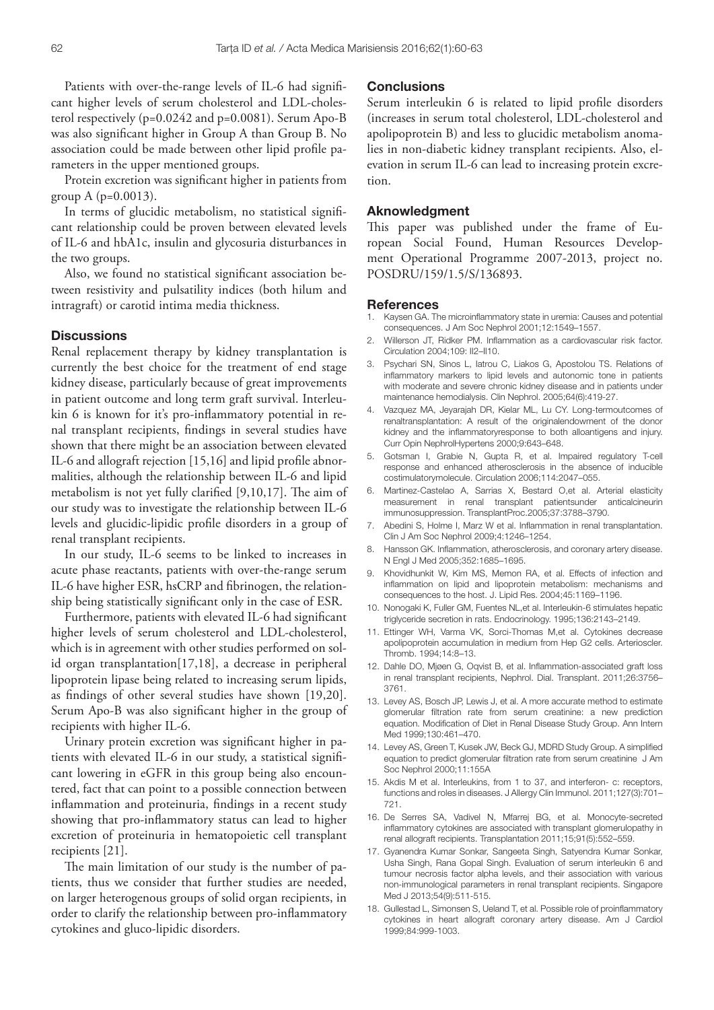Patients with over-the-range levels of IL-6 had significant higher levels of serum cholesterol and LDL-cholesterol respectively (p=0.0242 and p=0.0081). Serum Apo-B was also significant higher in Group A than Group B. No association could be made between other lipid profile parameters in the upper mentioned groups.

Protein excretion was significant higher in patients from group A (p=0.0013).

In terms of glucidic metabolism, no statistical significant relationship could be proven between elevated levels of IL-6 and hbA1c, insulin and glycosuria disturbances in the two groups.

Also, we found no statistical significant association between resistivity and pulsatility indices (both hilum and intragraft) or carotid intima media thickness.

# **Discussions**

Renal replacement therapy by kidney transplantation is currently the best choice for the treatment of end stage kidney disease, particularly because of great improvements in patient outcome and long term graft survival. Interleukin 6 is known for it's pro-inflammatory potential in renal transplant recipients, findings in several studies have shown that there might be an association between elevated IL-6 and allograft rejection [15,16] and lipid profile abnormalities, although the relationship between IL-6 and lipid metabolism is not yet fully clarified [9,10,17]. The aim of our study was to investigate the relationship between IL-6 levels and glucidic-lipidic profile disorders in a group of renal transplant recipients.

In our study, IL-6 seems to be linked to increases in acute phase reactants, patients with over-the-range serum IL-6 have higher ESR, hsCRP and fibrinogen, the relationship being statistically significant only in the case of ESR.

Furthermore, patients with elevated IL-6 had significant higher levels of serum cholesterol and LDL-cholesterol, which is in agreement with other studies performed on solid organ transplantation[17,18], a decrease in peripheral lipoprotein lipase being related to increasing serum lipids, as findings of other several studies have shown [19,20]. Serum Apo-B was also significant higher in the group of recipients with higher IL-6.

Urinary protein excretion was significant higher in patients with elevated IL-6 in our study, a statistical significant lowering in eGFR in this group being also encountered, fact that can point to a possible connection between inflammation and proteinuria, findings in a recent study showing that pro-inflammatory status can lead to higher excretion of proteinuria in hematopoietic cell transplant recipients [21].

The main limitation of our study is the number of patients, thus we consider that further studies are needed, on larger heterogenous groups of solid organ recipients, in order to clarify the relationship between pro-inflammatory cytokines and gluco-lipidic disorders.

## **Conclusions**

Serum interleukin 6 is related to lipid profile disorders (increases in serum total cholesterol, LDL-cholesterol and apolipoprotein B) and less to glucidic metabolism anomalies in non-diabetic kidney transplant recipients. Also, elevation in serum IL-6 can lead to increasing protein excretion.

## Aknowledgment

This paper was published under the frame of European Social Found, Human Resources Development Operational Programme 2007-2013, project no. POSDRU/159/1.5/S/136893.

#### References

- Kaysen GA. The microinflammatory state in uremia: Causes and potential consequences. J Am Soc Nephrol 2001;12:1549–1557.
- 2. Willerson JT, Ridker PM. Inflammation as a cardiovascular risk factor. Circulation 2004;109: II2–II10.
- 3. Psychari SN, Sinos L, Iatrou C, Liakos G, Apostolou TS. Relations of inflammatory markers to lipid levels and autonomic tone in patients with moderate and severe chronic kidney disease and in patients under maintenance hemodialysis. Clin Nephrol. 2005;64(6):419-27.
- 4. Vazquez MA, Jeyarajah DR, Kielar ML, Lu CY. Long-termoutcomes of renaltransplantation: A result of the originalendowment of the donor kidney and the inflammatoryresponse to both alloantigens and injury. Curr Opin NephrolHypertens 2000;9:643–648.
- 5. Gotsman I, Grabie N, Gupta R, et al. Impaired regulatory T-cell response and enhanced atherosclerosis in the absence of inducible costimulatorymolecule. Circulation 2006;114:2047–055.
- 6. Martinez-Castelao A, Sarrias X, Bestard O,et al. Arterial elasticity measurement in renal transplant patientsunder anticalcineurin immunosuppression. TransplantProc.2005;37:3788–3790.
- 7. Abedini S, Holme I, Marz W et al. Inflammation in renal transplantation. Clin J Am Soc Nephrol 2009;4:1246–1254.
- 8. Hansson GK. Inflammation, atherosclerosis, and coronary artery disease. N Engl J Med 2005;352:1685–1695.
- 9. Khovidhunkit W, Kim MS, Memon RA, et al. Effects of infection and inflammation on lipid and lipoprotein metabolism: mechanisms and consequences to the host. J. Lipid Res. 2004;45:1169–1196.
- 10. Nonogaki K, Fuller GM, Fuentes NL,et al. Interleukin-6 stimulates hepatic triglyceride secretion in rats. Endocrinology. 1995;136:2143–2149.
- 11. Ettinger WH, Varma VK, Sorci-Thomas M,et al. Cytokines decrease apolipoprotein accumulation in medium from Hep G2 cells. Arterioscler. Thromb. 1994;14:8–13.
- 12. Dahle DO, Mjøen G, Oqvist B, et al. Inflammation-associated graft loss in renal transplant recipients, Nephrol. Dial. Transplant. 2011;26:3756– 3761.
- 13. Levey AS, Bosch JP, Lewis J, et al. A more accurate method to estimate glomerular filtration rate from serum creatinine: a new prediction equation. Modification of Diet in Renal Disease Study Group. Ann Intern Med 1999;130:461–470.
- 14. Levey AS, Green T, Kusek JW, Beck GJ, MDRD Study Group. A simplified equation to predict glomerular filtration rate from serum creatinine J Am Soc Nephrol 2000;11:155A
- 15. Akdis M et al. Interleukins, from 1 to 37, and interferon- c: receptors, functions and roles in diseases. J Allergy Clin Immunol. 2011;127(3):701– 721.
- 16. De Serres SA, Vadivel N, Mfarrej BG, et al. Monocyte-secreted inflammatory cytokines are associated with transplant glomerulopathy in renal allograft recipients. Transplantation 2011;15;91(5):552–559.
- 17. Gyanendra Kumar Sonkar, Sangeeta Singh, Satyendra Kumar Sonkar, Usha Singh, Rana Gopal Singh. Evaluation of serum interleukin 6 and tumour necrosis factor alpha levels, and their association with various non-immunological parameters in renal transplant recipients. Singapore Med J 2013;54(9):511-515.
- 18. Gullestad L, Simonsen S, Ueland T, et al. Possible role of proinflammatory cytokines in heart allograft coronary artery disease. Am J Cardiol 1999;84:999-1003.